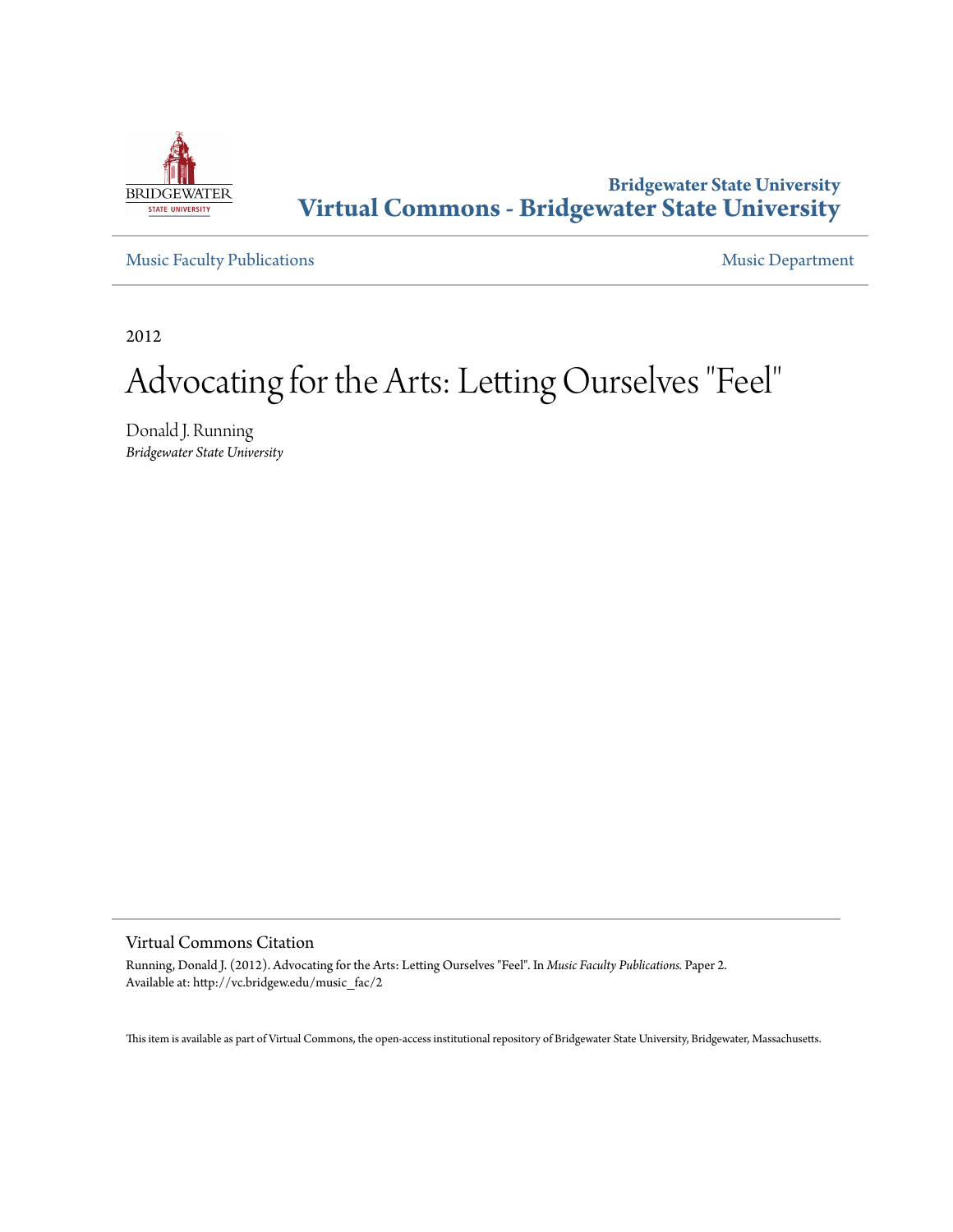

### **Bridgewater State University [Virtual Commons - Bridgewater State University](http://vc.bridgew.edu)**

[Music Faculty Publications](http://vc.bridgew.edu/music_fac) **[Music Department](http://vc.bridgew.edu/music)** 

2012

# Advocating for the Arts: Letting Ourselves "Feel"

Donald J. Running *Bridgewater State University*

Virtual Commons Citation

Running, Donald J. (2012). Advocating for the Arts: Letting Ourselves "Feel". In *Music Faculty Publications.* Paper 2. Available at: http://vc.bridgew.edu/music\_fac/2

This item is available as part of Virtual Commons, the open-access institutional repository of Bridgewater State University, Bridgewater, Massachusetts.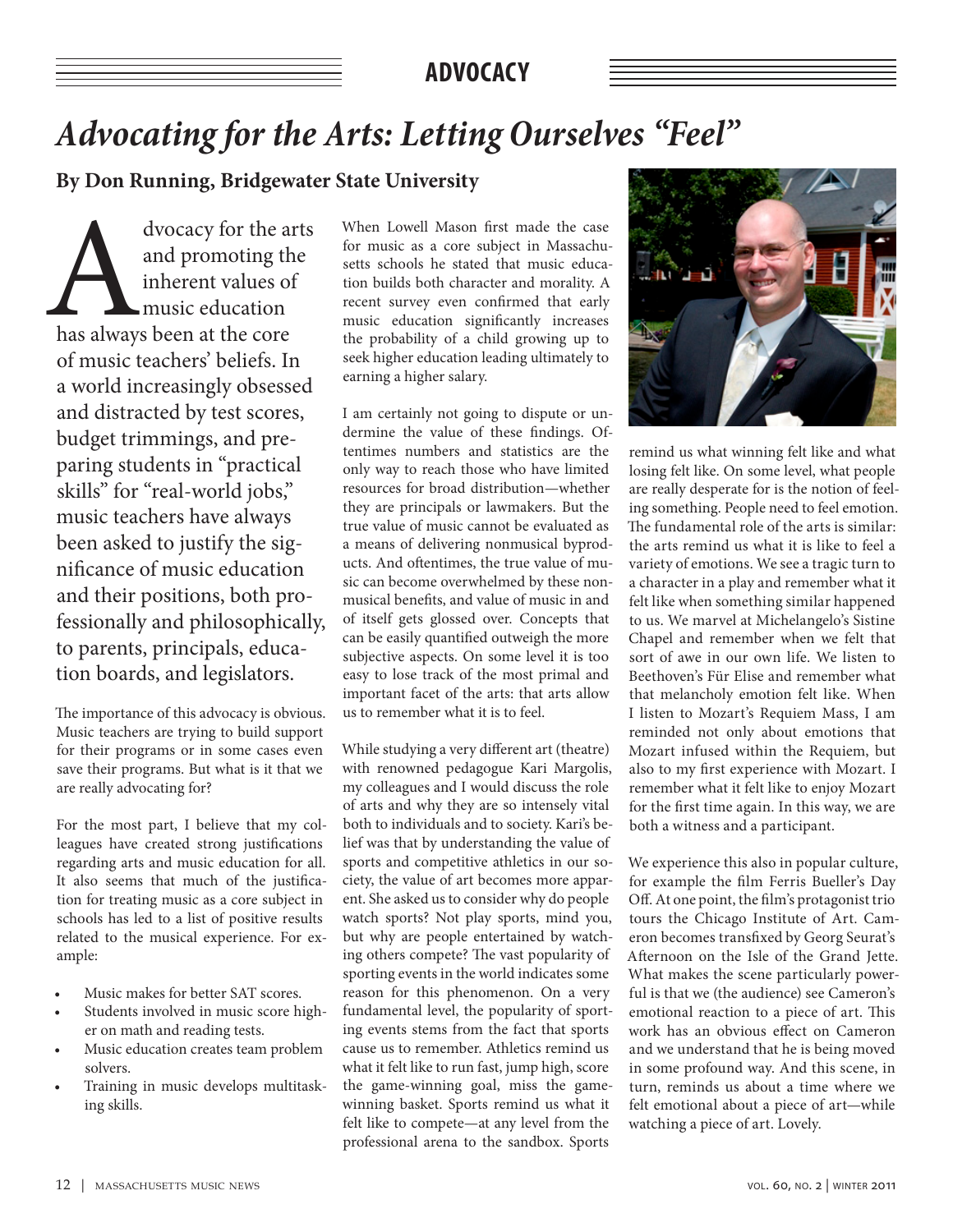### **ADVOCACY**

## *Advocating for the Arts: Letting Ourselves "Feel"*

**By Don Running, Bridgewater State University**

dvocacy for the arts<br>
and promoting the<br>
inherent values of<br>
music education<br>
has always been at the core and promoting the inherent values of music education of music teachers' beliefs. In a world increasingly obsessed and distracted by test scores, budget trimmings, and preparing students in "practical skills" for "real-world jobs," music teachers have always been asked to justify the significance of music education and their positions, both professionally and philosophically, to parents, principals, education boards, and legislators.

The importance of this advocacy is obvious. Music teachers are trying to build support for their programs or in some cases even save their programs. But what is it that we are really advocating for?

For the most part, I believe that my colleagues have created strong justifications regarding arts and music education for all. It also seems that much of the justification for treating music as a core subject in schools has led to a list of positive results related to the musical experience. For example:

- Music makes for better SAT scores.
- Students involved in music score higher on math and reading tests.
- Music education creates team problem solvers.
- Training in music develops multitasking skills.

When Lowell Mason first made the case for music as a core subject in Massachusetts schools he stated that music education builds both character and morality. A recent survey even confirmed that early music education significantly increases the probability of a child growing up to seek higher education leading ultimately to earning a higher salary.

I am certainly not going to dispute or undermine the value of these findings. Oftentimes numbers and statistics are the only way to reach those who have limited resources for broad distribution—whether they are principals or lawmakers. But the true value of music cannot be evaluated as a means of delivering nonmusical byproducts. And oftentimes, the true value of music can become overwhelmed by these nonmusical benefits, and value of music in and of itself gets glossed over. Concepts that can be easily quantified outweigh the more subjective aspects. On some level it is too easy to lose track of the most primal and important facet of the arts: that arts allow us to remember what it is to feel.

While studying a very different art (theatre) with renowned pedagogue Kari Margolis, my colleagues and I would discuss the role of arts and why they are so intensely vital both to individuals and to society. Kari's belief was that by understanding the value of sports and competitive athletics in our society, the value of art becomes more apparent. She asked us to consider why do people watch sports? Not play sports, mind you, but why are people entertained by watching others compete? The vast popularity of sporting events in the world indicates some reason for this phenomenon. On a very fundamental level, the popularity of sporting events stems from the fact that sports cause us to remember. Athletics remind us what it felt like to run fast, jump high, score the game-winning goal, miss the gamewinning basket. Sports remind us what it felt like to compete—at any level from the professional arena to the sandbox. Sports



remind us what winning felt like and what losing felt like. On some level, what people are really desperate for is the notion of feeling something. People need to feel emotion. The fundamental role of the arts is similar: the arts remind us what it is like to feel a variety of emotions. We see a tragic turn to a character in a play and remember what it felt like when something similar happened to us. We marvel at Michelangelo's Sistine Chapel and remember when we felt that sort of awe in our own life. We listen to Beethoven's Für Elise and remember what that melancholy emotion felt like. When I listen to Mozart's Requiem Mass, I am reminded not only about emotions that Mozart infused within the Requiem, but also to my first experience with Mozart. I remember what it felt like to enjoy Mozart for the first time again. In this way, we are both a witness and a participant.

We experience this also in popular culture, for example the film Ferris Bueller's Day Off. At one point, the film's protagonist trio tours the Chicago Institute of Art. Cameron becomes transfixed by Georg Seurat's Afternoon on the Isle of the Grand Jette. What makes the scene particularly powerful is that we (the audience) see Cameron's emotional reaction to a piece of art. This work has an obvious effect on Cameron and we understand that he is being moved in some profound way. And this scene, in turn, reminds us about a time where we felt emotional about a piece of art—while watching a piece of art. Lovely.